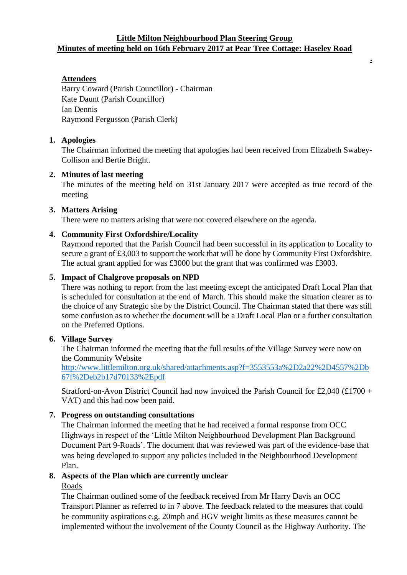### **Little Milton Neighbourhood Plan Steering Group Minutes of meeting held on 16th February 2017 at Pear Tree Cottage: Haseley Road**

**.**

# **Attendees**

Barry Coward (Parish Councillor) - Chairman Kate Daunt (Parish Councillor) Ian Dennis Raymond Fergusson (Parish Clerk)

## **1. Apologies**

The Chairman informed the meeting that apologies had been received from Elizabeth Swabey-Collison and Bertie Bright.

### **2. Minutes of last meeting**

The minutes of the meeting held on 31st January 2017 were accepted as true record of the meeting

### **3. Matters Arising**

There were no matters arising that were not covered elsewhere on the agenda.

## **4. Community First Oxfordshire/Locality**

Raymond reported that the Parish Council had been successful in its application to Locality to secure a grant of £3,003 to support the work that will be done by Community First Oxfordshire. The actual grant applied for was £3000 but the grant that was confirmed was £3003.

### **5. Impact of Chalgrove proposals on NPD**

There was nothing to report from the last meeting except the anticipated Draft Local Plan that is scheduled for consultation at the end of March. This should make the situation clearer as to the choice of any Strategic site by the District Council. The Chairman stated that there was still some confusion as to whether the document will be a Draft Local Plan or a further consultation on the Preferred Options.

## **6. Village Survey**

The Chairman informed the meeting that the full results of the Village Survey were now on the Community Website

[http://www.littlemilton.org.uk/shared/attachments.asp?f=3553553a%2D2a22%2D4557%2Db](http://www.littlemilton.org.uk/shared/attachments.asp?f=3553553a%2D2a22%2D4557%2Db67f%2Deb2b17d70133%2Epdf) [67f%2Deb2b17d70133%2Epdf](http://www.littlemilton.org.uk/shared/attachments.asp?f=3553553a%2D2a22%2D4557%2Db67f%2Deb2b17d70133%2Epdf)

Stratford-on-Avon District Council had now invoiced the Parish Council for £2,040 (£1700 + VAT) and this had now been paid.

#### **7. Progress on outstanding consultations**

The Chairman informed the meeting that he had received a formal response from OCC Highways in respect of the 'Little Milton Neighbourhood Development Plan Background Document Part 9-Roads'. The document that was reviewed was part of the evidence-base that was being developed to support any policies included in the Neighbourhood Development Plan.

### **8. Aspects of the Plan which are currently unclear**

Roads

The Chairman outlined some of the feedback received from Mr Harry Davis an OCC Transport Planner as referred to in 7 above. The feedback related to the measures that could be community aspirations e.g. 20mph and HGV weight limits as these measures cannot be implemented without the involvement of the County Council as the Highway Authority. The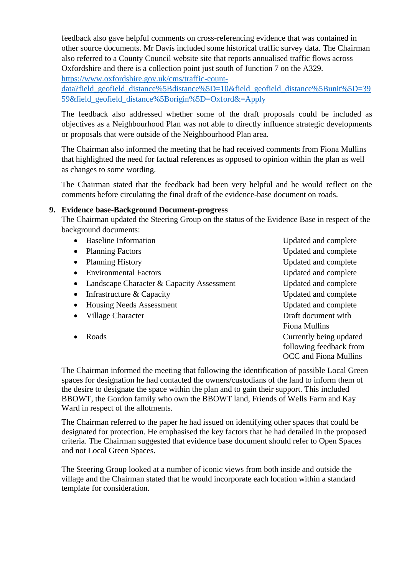feedback also gave helpful comments on cross-referencing evidence that was contained in other source documents. Mr Davis included some historical traffic survey data. The Chairman also referred to a County Council website site that reports annualised traffic flows across Oxfordshire and there is a collection point just south of Junction 7 on the A329. [https://www.oxfordshire.gov.uk/cms/traffic-count-](https://www.oxfordshire.gov.uk/cms/traffic-count-data?field_geofield_distance%5Bdistance%5D=10&field_geofield_distance%5Bunit%5D=3959&field_geofield_distance%5Borigin%5D=Oxford&=Apply)

[data?field\\_geofield\\_distance%5Bdistance%5D=10&field\\_geofield\\_distance%5Bunit%5D=39](https://www.oxfordshire.gov.uk/cms/traffic-count-data?field_geofield_distance%5Bdistance%5D=10&field_geofield_distance%5Bunit%5D=3959&field_geofield_distance%5Borigin%5D=Oxford&=Apply) [59&field\\_geofield\\_distance%5Borigin%5D=Oxford&=Apply](https://www.oxfordshire.gov.uk/cms/traffic-count-data?field_geofield_distance%5Bdistance%5D=10&field_geofield_distance%5Bunit%5D=3959&field_geofield_distance%5Borigin%5D=Oxford&=Apply)

The feedback also addressed whether some of the draft proposals could be included as objectives as a Neighbourhood Plan was not able to directly influence strategic developments or proposals that were outside of the Neighbourhood Plan area.

The Chairman also informed the meeting that he had received comments from Fiona Mullins that highlighted the need for factual references as opposed to opinion within the plan as well as changes to some wording.

The Chairman stated that the feedback had been very helpful and he would reflect on the comments before circulating the final draft of the evidence-base document on roads.

## **9. Evidence base-Background Document-progress**

The Chairman updated the Steering Group on the status of the Evidence Base in respect of the background documents:

• Baseline Information Updated and complete • Planning Factors Updated and complete • Planning History Updated and complete Environmental Factors Updated and complete • Landscape Character & Capacity Assessment Updated and complete • Infrastructure & Capacity Updated and complete • Housing Needs Assessment Updated and complete • Village Character Draft document with Fiona Mullins • Roads **Currently being updated** following feedback from OCC and Fiona Mullins

The Chairman informed the meeting that following the identification of possible Local Green spaces for designation he had contacted the owners/custodians of the land to inform them of the desire to designate the space within the plan and to gain their support. This included BBOWT, the Gordon family who own the BBOWT land, Friends of Wells Farm and Kay Ward in respect of the allotments.

The Chairman referred to the paper he had issued on identifying other spaces that could be designated for protection. He emphasised the key factors that he had detailed in the proposed criteria. The Chairman suggested that evidence base document should refer to Open Spaces and not Local Green Spaces.

The Steering Group looked at a number of iconic views from both inside and outside the village and the Chairman stated that he would incorporate each location within a standard template for consideration.